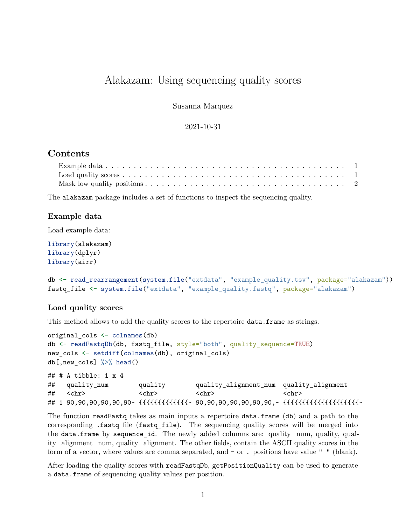# Alakazam: Using sequencing quality scores

Susanna Marquez

2021-10-31

## **Contents**

The alakazam package includes a set of functions to inspect the sequencing quality.

#### <span id="page-0-0"></span>**Example data**

Load example data:

```
library(alakazam)
library(dplyr)
library(airr)
```

```
db <- read_rearrangement(system.file("extdata", "example_quality.tsv", package="alakazam"))
fastq_file <- system.file("extdata", "example_quality.fastq", package="alakazam")
```
#### <span id="page-0-1"></span>**Load quality scores**

This method allows to add the quality scores to the repertoire **data.frame** as strings.

```
original_cols <- colnames(db)
db <- readFastqDb(db, fastq_file, style="both", quality_sequence=TRUE)
new_cols <- setdiff(colnames(db), original_cols)
db[,new_cols] %>% head()
## # A tibble: 1 x 4
```

```
## quality_num quality quality_alignment_num quality_alignment
## <chr> <chr> <chr> <chr>
## 1 90,90,90,90,90,90~ {{{{{{{{{{{{{~ 90,90,90,90,90,90,90,~ {{{{{{{{{{{{{{{{{{{{~
```
The function readFastq takes as main inputs a repertoire data.frame (db) and a path to the corresponding .fastq file (fastq\_file). The sequencing quality scores will be merged into the data.frame by sequence\_id. The newly added columns are: quality\_num, quality, quality\_alignment\_num, quality\_alignment. The other fields, contain the ASCII quality scores in the form of a vector, where values are comma separated, and - or . positions have value " " (blank).

After loading the quality scores with readFastqDb, getPositionQuality can be used to generate a data.frame of sequencing quality values per position.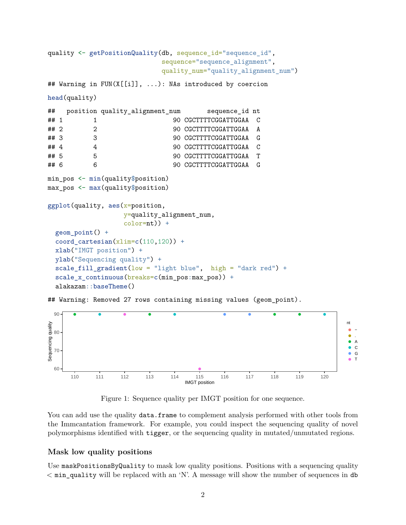```
quality <- getPositionQuality(db, sequence_id="sequence_id",
                         sequence="sequence_alignment",
                         quality_num="quality_alignment_num")
## Warning in FUN(X[[i]], ...): NAs introduced by coercion
head(quality)
## position quality_alignment_num sequence_id nt
## 1 1 90 CGCTTTTCGGATTGGAA C
## 2 2 90 CGCTTTTCGGATTGGAA A
## 3 3 90 CGCTTTTCGGATTGGAA G
## 4 4 90 CGCTTTTCGGATTGGAA C
## 5 5 90 CGCTTTTCGGATTGGAA T
## 6 6 90 CGCTTTTCGGATTGGAA G
min_pos <- min(quality$position)
max_pos <- max(quality$position)
ggplot(quality, aes(x=position,y=quality_alignment_num,
                color=nt)) +
 geom point() +coord cartesian(xlim=c(110,120)) +
 xlab("IMGT position") +
 ylab("Sequencing quality") +
 scale_fill\_gradient(low = "light blue", high = "dark red") +scale_x_continuous(breaks=c(min_pos:max_pos)) +
 alakazam::baseTheme()
```
## Warning: Removed 27 rows containing missing values (geom\_point).



Figure 1: Sequence quality per IMGT position for one sequence.

You can add use the quality data.frame to complement analysis performed with other tools from the Immcantation framework. For example, you could inspect the sequencing quality of novel polymorphisms identified with tigger, or the sequencing quality in mutated/unmutated regions.

### <span id="page-1-0"></span>**Mask low quality positions**

Use maskPositionsByQuality to mask low quality positions. Positions with a sequencing quality < min\_quality will be replaced with an 'N'. A message will show the number of sequences in db